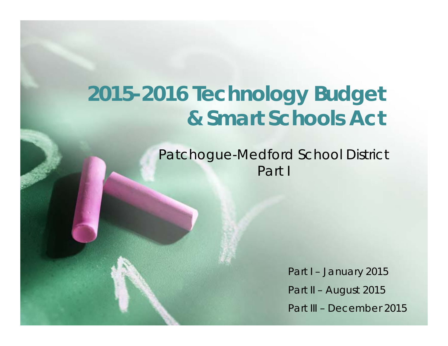# **2015-2016 Technology Budget & Smart Schools Act**

Patchogue-Medford School District Part I

> Part I - January 2015 Part II – August 2015 Part III – December 2015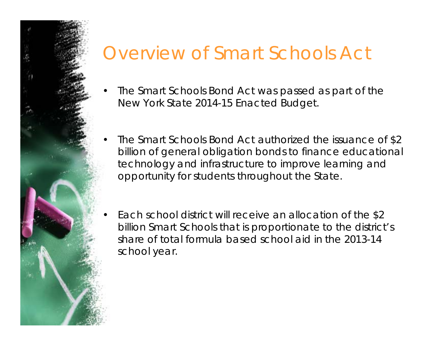## Overview of Smart Schools Act

- • The Smart Schools Bond Act was passed as part of the New York State 2014-15 Enacted Budget.
- • The Smart Schools Bond Act authorized the issuance of \$2 billion of general obligation bonds to finance educational technology and infrastructure to improve learning and opportunity for students throughout the State.
	- Each school district will receive an allocation of the \$2 billion Smart Schools that is proportionate to the district's share of total formula based school aid in the 2013-14 school year.

•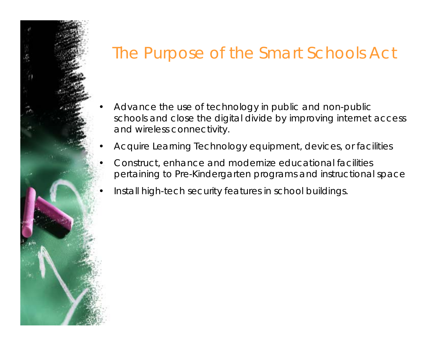## The Purpose of the Smart Schools Act

- • Advance the use of technology in public and non-public schools and close the digital divide by improving internet access and wireless connectivity.
- •Acquire Learning Technology equipment, devices, or facilities
- Construct, enhance and modernize educational facilities pertaining to Pre-Kindergarten programs and instructional space
- •Install high-tech security features in school buildings.

•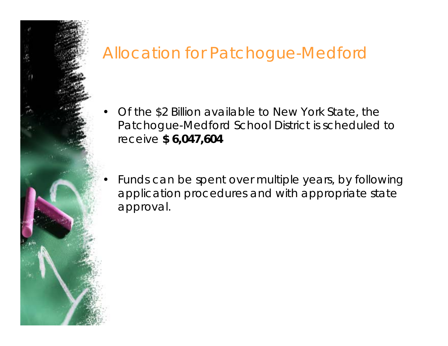## Allocation for Patchogue-Medford

•

- • Of the \$2 Billion available to New York State, the Patchogue-Medford School District is scheduled to receive **\$ 6,047,604**
- Funds can be spent over multiple years, by following application procedures and with appropriate state approval.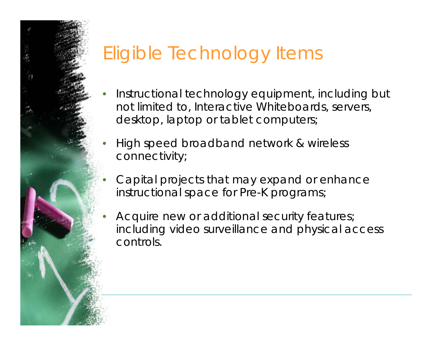## Eligible Technology Items

- • Instructional technology equipment, including but not limited to, Interactive Whiteboards, servers, desktop, laptop or tablet computers;
- • High speed broadband network & wireless connectivity;
- • Capital projects that may expand or enhance instructional space for Pre-K programs;
- • Acquire new or additional security features; including video surveillance and physical access controls.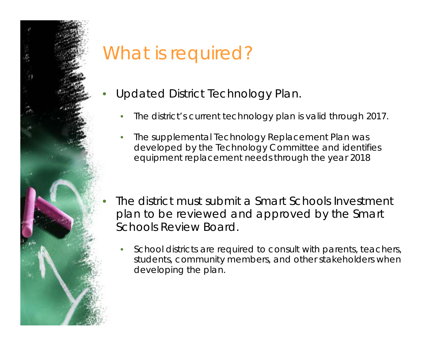

# What is required?

- Updated District Technology Plan.
	- •*The district's current technology plan is valid through 2017.*
	- • *The supplemental Technology Replacement Plan was developed by the Technology Committee and identifies equipment replacement needs through the year 2018*
	- The district must submit a Smart Schools Investment plan to be reviewed and approved by the Smart Schools Review Board.
		- • *School districts are required to consult with parents, teachers, students, community members, and other stakeholders when developing the plan.*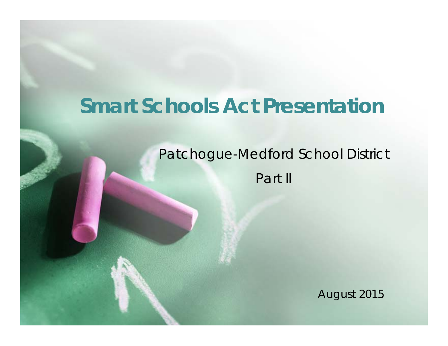## **Smart Schools Act Presentation**

## Patchogue-Medford School District Part II

August 2015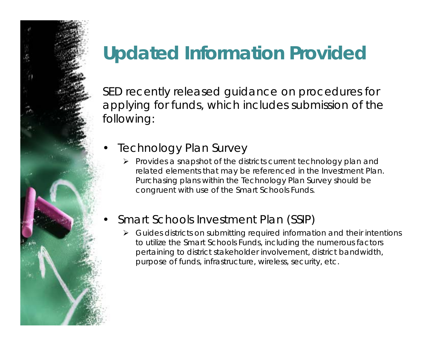## **Updated Information Provided**

SED recently released guidance on procedures for applying for funds, which includes submission of the following:

- **Technology Plan Survey** 
	- *Provides a snapshot of the districts current technology plan and related elements that may be referenced in the Investment Plan. Purchasing plans within the Technology Plan Survey should be congruent with use of the Smart Schools Funds.*
- Smart Schools Investment Plan (SSIP)
	- ➤ *Guides districts on submitting required information and their intentions to utilize the Smart Schools Funds, including the numerous factors pertaining to district stakeholder involvement, district bandwidth, purpose of funds, infrastructure, wireless, security, etc.*

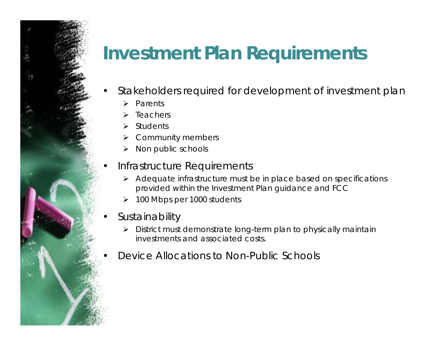## **Investment Plan Requirements**

- Stakeholders required for development of investment plan
	- $\blacktriangleright$ *Parents*
	- $\blacktriangleright$ *Teachers*
	- $\blacktriangleright$ *Students*
	- *Community members*
	- $\blacktriangleright$ *Non public schools*

#### • Infrastructure Requirements

- *Adequate infrastructure must be in place based on specifications provided within the Investment Plan guidance and FCC*
- ➤ *100 Mbps per 1000 students*
- **Sustainability** 
	- *District must demonstrate long-term plan to physically maintain investments and associated costs.*
- Device Allocations to Non-Public Schools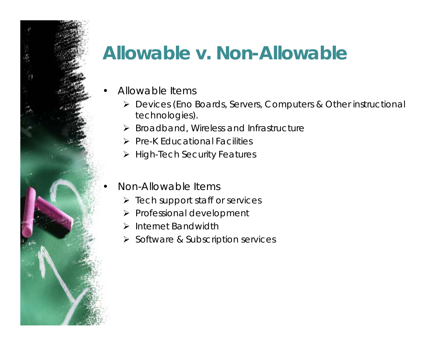## **Allowable v. Non-Allowable**

- Allowable Items
	- *Devices (Eno Boards, Servers, Computers & Other instructional technologies).*
	- *Broadband, Wireless and Infrastructure*
	- *Pre-K Educational Facilities*
	- *High-Tech Security Features*
	- Non-Allowable Items
		- *Tech support staff or services*
		- *Professional development*
		- *Internet Bandwidth*
		- *Software & Subscription services*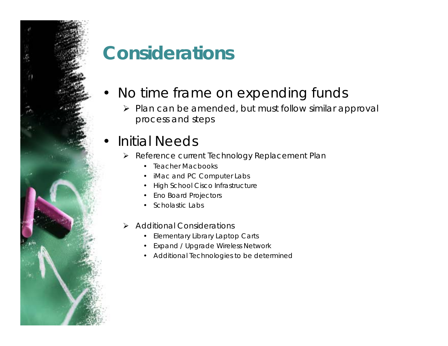## **Considerations**

- No time frame on expending funds
	- *Plan can be amended, but must follow similar approval process and steps*

### • Initial Needs

- *Reference current Technology Replacement Plan* 
	- Teacher Macbooks
	- •iMac and PC Computer Labs
	- •High School Cisco Infrastructure
	- •Eno Board Projectors
	- Scholastic Labs
- $\blacktriangleright$  *Additional Considerations* 
	- Elementary Library Laptop Carts
	- •Expand / Upgrade Wireless Network
	- Additional Technologies to be determined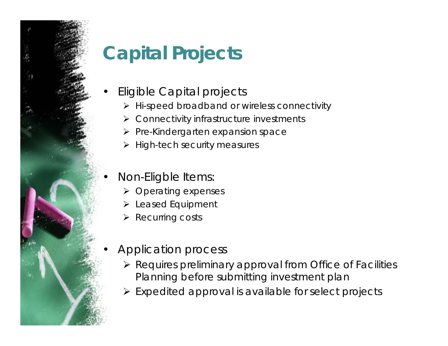# **Capital Projects**

- Eligible Capital projects
	- *Hi-speed broadband or wireless connectivity*
	- *Connectivity infrastructure investments*
	- *Pre-Kindergarten expansion space*
	- *High-tech security measures*
	- Non-Eligble Items:
		- *Operating expenses*
		- *Leased Equipment*
		- *Recurring costs*
	- Application process
		- *Requires preliminary approval from Office of Facilities Planning before submitting investment plan*
		- *Expedited approval is available for select projects*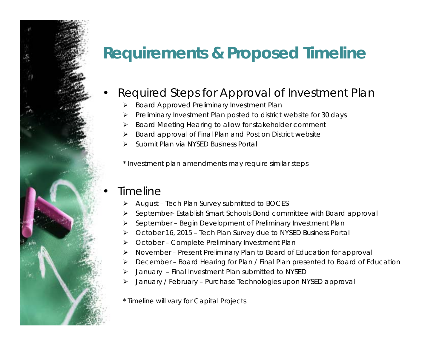## **Requirements & Proposed Timeline**

#### • Required Steps for Approval of Investment Plan

- ➤ *Board Approved Preliminary Investment Plan*
- ➤ *Preliminary Investment Plan posted to district website for 30 days*
- ➤ *Board Meeting Hearing to allow for stakeholder comment*
- ➤ *Board approval of Final Plan and Post on District website*
- ➤ *Submit Plan via NYSED Business Portal*

*\* Investment plan amendments may require similar steps* 

#### • Timeline

- ➤ *August – Tech Plan Survey submitted to BOCES*
- ➤ *September- Establish Smart Schools Bond committee with Board approval*
- ➤ *September – Begin Development of Preliminary Investment Plan*
- ➤ *October 16, 2015 – Tech Plan Survey due to NYSED Business Portal*
- ➤ *October – Complete Preliminary Investment Plan*
- ➤ *November – Present Preliminary Plan to Board of Education for approval*
- ➤ *December – Board Hearing for Plan / Final Plan presented to Board of Education*
- ➤ *January – Final Investment Plan submitted to NYSED*
- ➤ *January / February – Purchase Technologies upon NYSED approval*
- *\* Timeline will vary for Capital Projects*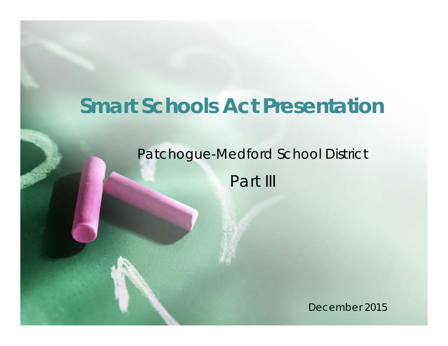## **Smart Schools Act Presentation**

#### Patchogue-Medford School District

Part III

December 2015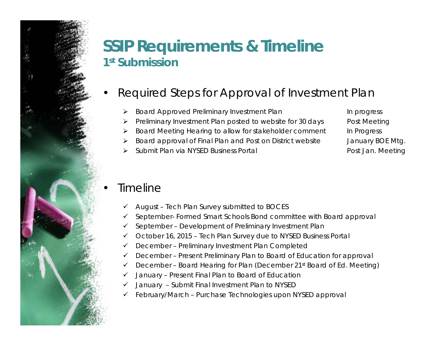### **SSIP Requirements & Timeline 1st Submission**

- Required Steps for Approval of Investment Plan
	- ➤ *Board Approved Preliminary Investment Plan* In progress *In progress*
	- ➤ *Preliminary Investment Plan posted to website for 30 days* Post Meeting
	- ➤ *Board Meeting Hearing to allow for stakeholder comment In Progress*
	- ➤ *Board approval of Final Plan and Post on District website January BOE Mtg.*
	- ➤ Submit Plan via NYSED Business Portal **Post Jan. Meeting**

#### **Timeline**

- $\checkmark$ *August – Tech Plan Survey submitted to BOCES*
- $\checkmark$ *September- Formed Smart Schools Bond committee with Board approval*
- $\checkmark$ *September – Development of Preliminary Investment Plan*
- $\checkmark$ *October 16, 2015 – Tech Plan Survey due to NYSED Business Portal*
- $\checkmark$ *December – Preliminary Investment Plan Completed*
- $\checkmark$ *December – Present Preliminary Plan to Board of Education for approval*
- $\checkmark$ *December – Board Hearing for Plan (December 21st Board of Ed. Meeting)*
- $\checkmark$ *January – Present Final Plan to Board of Education*
- $\checkmark$ *January – Submit Final Investment Plan to NYSED*
- ✓ *February/March – Purchase Technologies upon NYSED approval*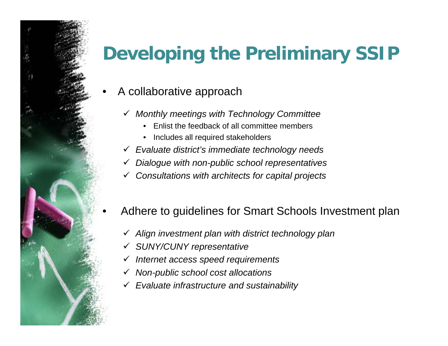# **Developing the Preliminary SSIP**

- A collaborative approach
	- *Monthly meetings with Technology Committee* 
		- Enlist the feedback of all committee members
		- Includes all required stakeholders
	- *Evaluate district's immediate technology needs*
	- $\checkmark$ *Dialogue with non-public school representatives*
	- $\checkmark$ *Consultations with architects for capital projects*
	- Adhere to guidelines for Smart Schools Investment plan
		- *Align investment plan with district technology plan*
		- $\checkmark$ *SUNY/CUNY representative*
		- *Internet access speed requirements*
		- $\checkmark$ *Non-public school cost allocations*
		- *Evaluate infrastructure and sustainability*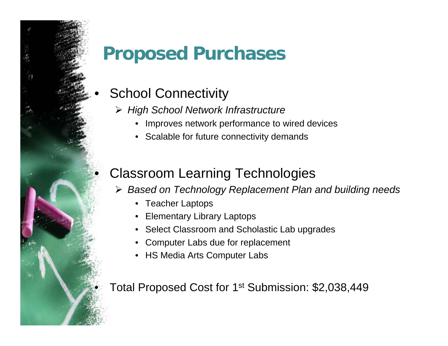## **Proposed Purchases**

### **School Connectivity**

- *High School Network Infrastructure* 
	- Improves network performance to wired devices
	- Scalable for future connectivity demands

### • Classroom Learning Technologies

- *Based on Technology Replacement Plan and building needs* 
	- Teacher Laptops
	- Elementary Library Laptops
	- Select Classroom and Scholastic Lab upgrades
	- Computer Labs due for replacement
	- HS Media Arts Computer Labs

Total Proposed Cost for 1<sup>st</sup> Submission: \$2,038,449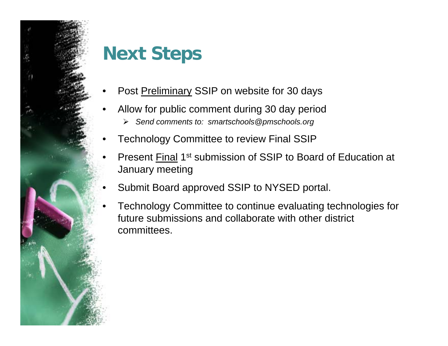

# **Next Steps**

- •Post Preliminary SSIP on website for 30 days
- • Allow for public comment during 30 day period
	- $\blacktriangleright$ *Send comments to: smartschools@pmschools.org*
- •Technology Committee to review Final SSIP
- •Present Final 1<sup>st</sup> submission of SSIP to Board of Education at January meeting
- Submit Board approved SSIP to NYSED portal.
- Technology Committee to continue evaluating technologies for future submissions and collaborate with other district committees.